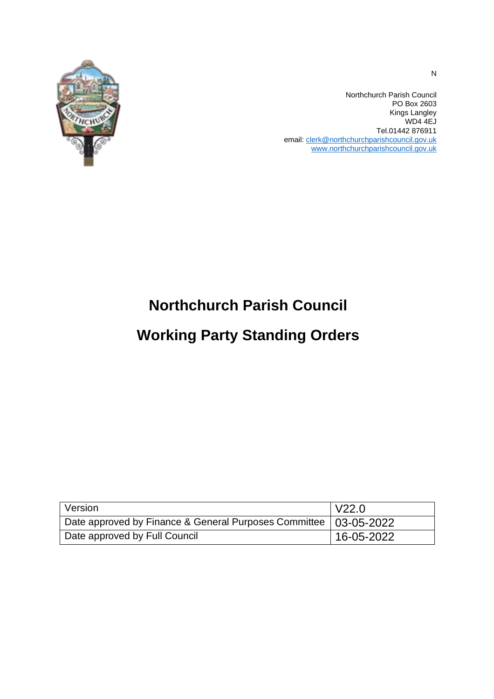

Northchurch Parish Council PO Box 2603 Kings Langley WD4 4EJ Tel.01442 876911 email[: clerk@northchurchparishcouncil.gov.uk](mailto:clerk@northchurchparishcouncil.gov.uk) [www.northchurchparishcouncil.gov.uk](http://www.northchurchparishcouncil.gov.uk/)

# **Northchurch Parish Council**

# **Working Party Standing Orders**

| Version                                                            | V22.0      |
|--------------------------------------------------------------------|------------|
| Date approved by Finance & General Purposes Committee   03-05-2022 |            |
| Date approved by Full Council                                      | 16-05-2022 |

N